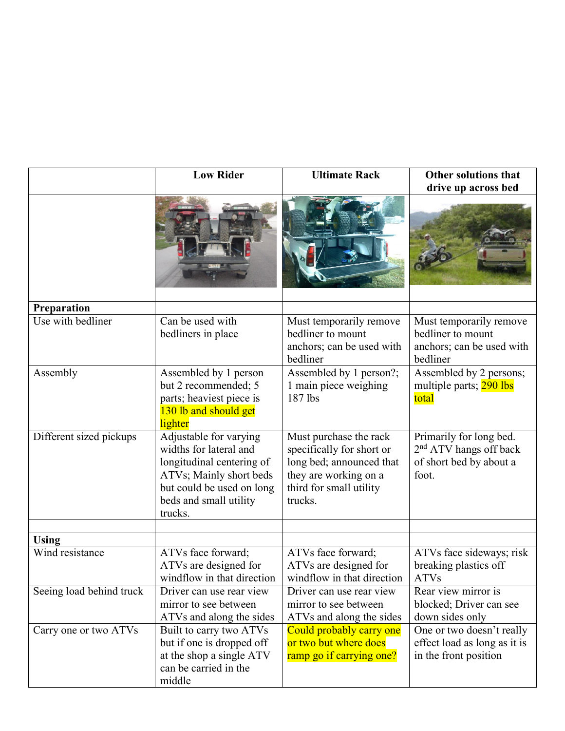|                                 | <b>Low Rider</b>                                                                                                                                                           | <b>Ultimate Rack</b>                                                                                                                           | <b>Other solutions that</b><br>drive up across bed                                      |
|---------------------------------|----------------------------------------------------------------------------------------------------------------------------------------------------------------------------|------------------------------------------------------------------------------------------------------------------------------------------------|-----------------------------------------------------------------------------------------|
|                                 |                                                                                                                                                                            |                                                                                                                                                |                                                                                         |
| Preparation                     |                                                                                                                                                                            |                                                                                                                                                |                                                                                         |
| Use with bedliner               | Can be used with<br>bedliners in place                                                                                                                                     | Must temporarily remove<br>bedliner to mount<br>anchors; can be used with<br>bedliner                                                          | Must temporarily remove<br>bedliner to mount<br>anchors; can be used with<br>bedliner   |
| Assembly                        | Assembled by 1 person<br>but 2 recommended; 5<br>parts; heaviest piece is<br>130 lb and should get<br>lighter                                                              | Assembled by 1 person?;<br>1 main piece weighing<br>187 lbs                                                                                    | Assembled by 2 persons;<br>multiple parts; 290 lbs<br>total                             |
| Different sized pickups         | Adjustable for varying<br>widths for lateral and<br>longitudinal centering of<br>ATVs; Mainly short beds<br>but could be used on long<br>beds and small utility<br>trucks. | Must purchase the rack<br>specifically for short or<br>long bed; announced that<br>they are working on a<br>third for small utility<br>trucks. | Primarily for long bed.<br>$2nd$ ATV hangs off back<br>of short bed by about a<br>foot. |
|                                 |                                                                                                                                                                            |                                                                                                                                                |                                                                                         |
| <b>Using</b><br>Wind resistance | ATVs face forward;<br>ATVs are designed for<br>windflow in that direction                                                                                                  | ATVs face forward;<br>ATVs are designed for<br>windflow in that direction                                                                      | ATVs face sideways; risk<br>breaking plastics off<br>ATVs                               |
| Seeing load behind truck        | Driver can use rear view<br>mirror to see between<br>ATVs and along the sides                                                                                              | Driver can use rear view<br>mirror to see between<br>ATVs and along the sides                                                                  | Rear view mirror is<br>blocked; Driver can see<br>down sides only                       |
| Carry one or two ATVs           | Built to carry two ATVs<br>but if one is dropped off<br>at the shop a single ATV<br>can be carried in the<br>middle                                                        | Could probably carry one<br>or two but where does<br>ramp go if carrying one?                                                                  | One or two doesn't really<br>effect load as long as it is<br>in the front position      |